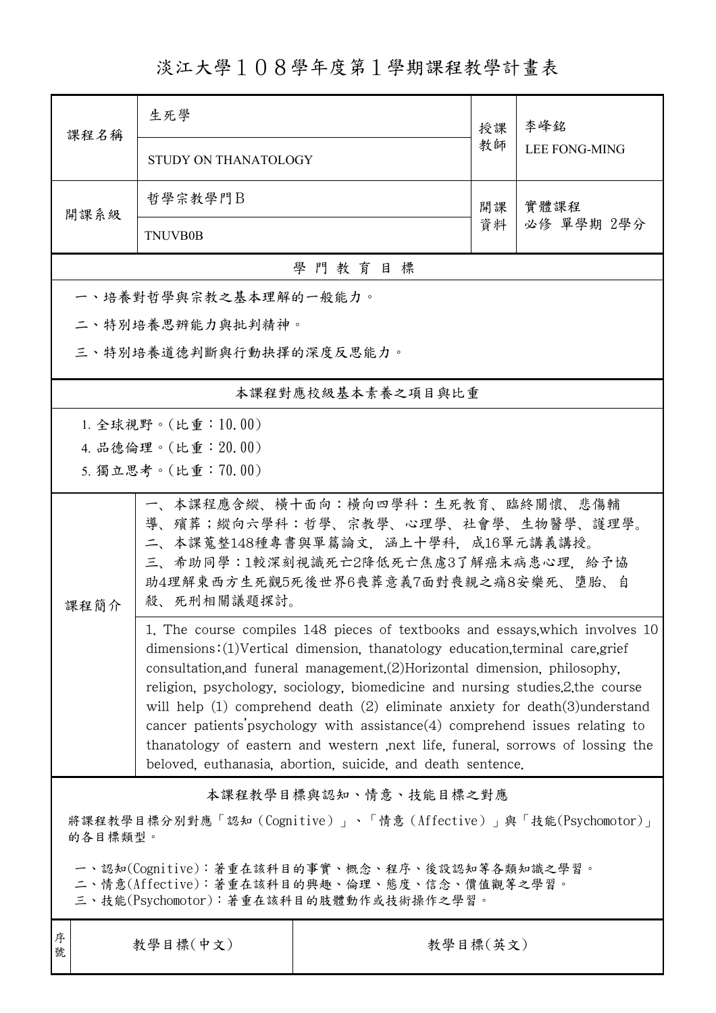## 淡江大學108學年度第1學期課程教學計畫表

| 課程名稱                                                                                                                                    | 生死學                                                                                                                                                                                                                                                                                                                                                                                                                                                                                                                                                                                                                                                           |          | 授課 | 李峰銘<br><b>LEE FONG-MING</b> |  |  |  |
|-----------------------------------------------------------------------------------------------------------------------------------------|---------------------------------------------------------------------------------------------------------------------------------------------------------------------------------------------------------------------------------------------------------------------------------------------------------------------------------------------------------------------------------------------------------------------------------------------------------------------------------------------------------------------------------------------------------------------------------------------------------------------------------------------------------------|----------|----|-----------------------------|--|--|--|
|                                                                                                                                         | STUDY ON THANATOLOGY                                                                                                                                                                                                                                                                                                                                                                                                                                                                                                                                                                                                                                          |          | 教師 |                             |  |  |  |
| 開課系級                                                                                                                                    | 哲學宗教學門B                                                                                                                                                                                                                                                                                                                                                                                                                                                                                                                                                                                                                                                       |          |    | 實體課程                        |  |  |  |
|                                                                                                                                         | <b>TNUVB0B</b>                                                                                                                                                                                                                                                                                                                                                                                                                                                                                                                                                                                                                                                |          | 資料 | 必修 單學期 2學分                  |  |  |  |
|                                                                                                                                         |                                                                                                                                                                                                                                                                                                                                                                                                                                                                                                                                                                                                                                                               | 學門教育目標   |    |                             |  |  |  |
|                                                                                                                                         | 一、培養對哲學與宗教之基本理解的一般能力。                                                                                                                                                                                                                                                                                                                                                                                                                                                                                                                                                                                                                                         |          |    |                             |  |  |  |
|                                                                                                                                         | 二、特別培養思辨能力與批判精神。                                                                                                                                                                                                                                                                                                                                                                                                                                                                                                                                                                                                                                              |          |    |                             |  |  |  |
| 三、特別培養道德判斷與行動抉擇的深度反思能力。                                                                                                                 |                                                                                                                                                                                                                                                                                                                                                                                                                                                                                                                                                                                                                                                               |          |    |                             |  |  |  |
| 本課程對應校級基本素養之項目與比重                                                                                                                       |                                                                                                                                                                                                                                                                                                                                                                                                                                                                                                                                                                                                                                                               |          |    |                             |  |  |  |
| 1. 全球視野。(比重:10.00)                                                                                                                      |                                                                                                                                                                                                                                                                                                                                                                                                                                                                                                                                                                                                                                                               |          |    |                             |  |  |  |
|                                                                                                                                         | 4. 品德倫理。(比重: 20.00)                                                                                                                                                                                                                                                                                                                                                                                                                                                                                                                                                                                                                                           |          |    |                             |  |  |  |
|                                                                                                                                         | 5. 獨立思考。(比重:70.00)                                                                                                                                                                                                                                                                                                                                                                                                                                                                                                                                                                                                                                            |          |    |                             |  |  |  |
| 課程簡介                                                                                                                                    | 一、本課程應含縱、橫十面向:橫向四學科:生死教育、臨終關懷、悲傷輔<br>導、殯葬;縱向六學科:哲學、宗教學、心理學、社會學、生物醫學、護理學。<br>二、本課蒐整148種專書與單篇論文,涵上十學科,成16單元講義講授。<br>三、希助同學:1較深刻視識死亡2降低死亡焦慮3了解癌末病患心理,給予協<br>助4理解東西方生死觀5死後世界6喪葬意義7面對喪親之痛8安樂死、墮胎、自<br>殺、死刑相關議題探討。                                                                                                                                                                                                                                                                                                                                                                                                                                                  |          |    |                             |  |  |  |
|                                                                                                                                         | 1. The course compiles 148 pieces of textbooks and essays, which involves 10<br>dimensions: (1) Vertical dimension, thanatology education, terminal care, grief<br>consultation, and funeral management. (2) Horizontal dimension, philosophy,<br>religion, psychology, sociology, biomedicine and nursing studies, 2, the course<br>will help $(1)$ comprehend death $(2)$ eliminate anxiety for death $(3)$ understand<br>cancer patients' psychology with assistance $(4)$ comprehend issues relating to<br>thanatology of eastern and western , next life, funeral, sorrows of lossing the<br>beloved, euthanasia, abortion, suicide, and death sentence. |          |    |                             |  |  |  |
| 本課程教學目標與認知、情意、技能目標之對應                                                                                                                   |                                                                                                                                                                                                                                                                                                                                                                                                                                                                                                                                                                                                                                                               |          |    |                             |  |  |  |
| 將課程教學目標分別對應「認知(Cognitive)」、「情意(Affective)」與「技能(Psychomotor)」<br>的各目標類型。                                                                 |                                                                                                                                                                                                                                                                                                                                                                                                                                                                                                                                                                                                                                                               |          |    |                             |  |  |  |
| 一、認知(Cognitive):著重在該科目的事實、概念、程序、後設認知等各類知識之學習。<br>二、情意(Affective):著重在該科目的興趣、倫理、態度、信念、價值觀等之學習。<br>三、技能(Psychomotor): 著重在該科目的肢體動作或技術操作之學習。 |                                                                                                                                                                                                                                                                                                                                                                                                                                                                                                                                                                                                                                                               |          |    |                             |  |  |  |
| 序<br>號                                                                                                                                  | 教學目標(中文)                                                                                                                                                                                                                                                                                                                                                                                                                                                                                                                                                                                                                                                      | 教學目標(英文) |    |                             |  |  |  |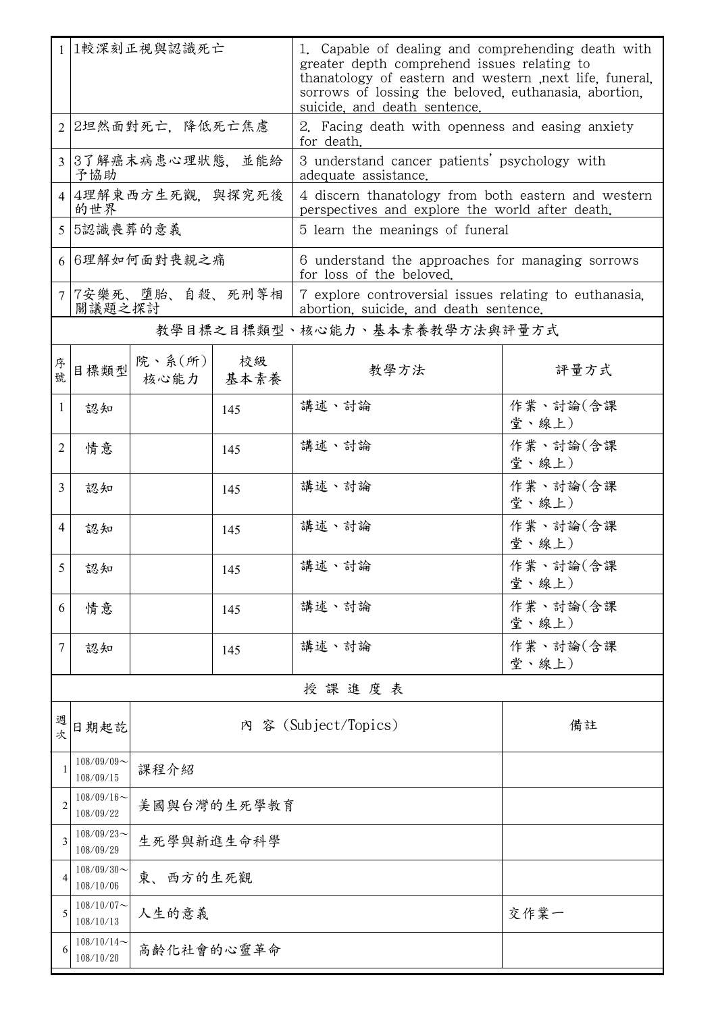|                | 1 1較深刻正視與認識死亡              |                        |             | 1. Capable of dealing and comprehending death with<br>greater depth comprehend issues relating to<br>thanatology of eastern and western , next life, funeral,<br>sorrows of lossing the beloved, euthanasia, abortion,<br>suicide, and death sentence. |                   |  |
|----------------|----------------------------|------------------------|-------------|--------------------------------------------------------------------------------------------------------------------------------------------------------------------------------------------------------------------------------------------------------|-------------------|--|
|                | 2 2坦然面對死亡,降低死亡焦慮           |                        |             | 2. Facing death with openness and easing anxiety<br>for death.                                                                                                                                                                                         |                   |  |
|                | 3 3了解癌末病患心理狀態,並能給<br>予協助   |                        |             | 3 understand cancer patients' psychology with<br>adequate assistance.                                                                                                                                                                                  |                   |  |
|                | 4 4理解東西方生死觀, 與探究死後<br>的世界  |                        |             | 4 discern thanatology from both eastern and western<br>perspectives and explore the world after death.                                                                                                                                                 |                   |  |
|                | 5 5認識喪葬的意義                 |                        |             | 5 learn the meanings of funeral                                                                                                                                                                                                                        |                   |  |
|                | 6 6理解如何面對喪親之痛              |                        |             | 6 understand the approaches for managing sorrows<br>for loss of the beloved.                                                                                                                                                                           |                   |  |
|                | 關議題之探討                     | 7 7安樂死、墮胎、自殺、死刑等相      |             | 7 explore controversial issues relating to euthanasia.<br>abortion, suicide, and death sentence.                                                                                                                                                       |                   |  |
|                |                            |                        |             | 教學目標之目標類型、核心能力、基本素養教學方法與評量方式                                                                                                                                                                                                                           |                   |  |
| 序號             | 日標類型                       | 院、系 $(\kappa)$<br>核心能力 | 校級<br>基本素養  | 教學方法                                                                                                                                                                                                                                                   | 評量方式              |  |
| 1              | 認知                         |                        | 145         | 講述、討論                                                                                                                                                                                                                                                  | 作業、討論(含課<br>堂、線上) |  |
| $\overline{2}$ | 情意                         |                        | 145         | 講述、討論                                                                                                                                                                                                                                                  | 作業、討論(含課<br>堂、線上) |  |
| 3              | 認知                         |                        | 145         | 講述、討論                                                                                                                                                                                                                                                  | 作業、討論(含課<br>堂、線上) |  |
| 4              | 認知                         |                        | 145         | 講述、討論                                                                                                                                                                                                                                                  | 作業、討論(含課<br>堂、線上) |  |
| 5              | 認知                         |                        | 145         | 講述、討論                                                                                                                                                                                                                                                  | 作業、討論(含課<br>堂、線上) |  |
| 6              | 情意                         |                        | 145         | 講述、討論                                                                                                                                                                                                                                                  | 作業、討論(含課<br>堂、線上) |  |
| 7              | 認知                         |                        | 145         | 講述、討論                                                                                                                                                                                                                                                  | 作業、討論(含課<br>堂、線上) |  |
|                |                            |                        |             | 授課進度表                                                                                                                                                                                                                                                  |                   |  |
| 週次             | 日期起訖                       | 內 容 (Subject/Topics)   |             |                                                                                                                                                                                                                                                        | 備註                |  |
| 1              | $108/09/09$ ~<br>108/09/15 | 課程介紹                   |             |                                                                                                                                                                                                                                                        |                   |  |
| 2              | $108/09/16$ ~<br>108/09/22 |                        | 美國與台灣的生死學教育 |                                                                                                                                                                                                                                                        |                   |  |
| 3              | $108/09/23$ ~<br>108/09/29 | 生死學與新進生命科學             |             |                                                                                                                                                                                                                                                        |                   |  |
| 4              | $108/09/30$ ~<br>108/10/06 | 西方的生死觀<br>東、           |             |                                                                                                                                                                                                                                                        |                   |  |
| 5              | $108/10/07$ ~<br>108/10/13 | 人生的意義<br>交作業一          |             |                                                                                                                                                                                                                                                        |                   |  |
|                | $108/10/14$ ~<br>108/10/20 | 高齢化社會的心靈革命             |             |                                                                                                                                                                                                                                                        |                   |  |